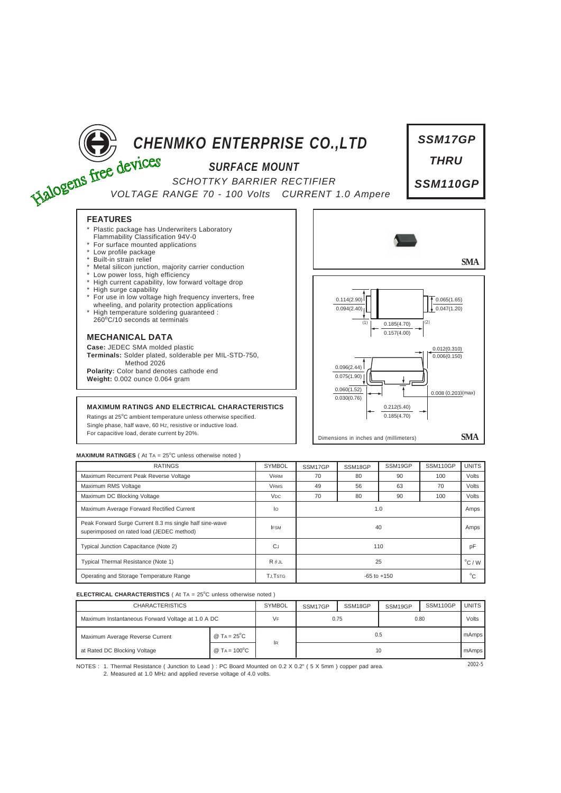

## **MAXIMUM RATINGES** ( At TA = 25°C unless otherwise noted )

| <b>RATINGS</b>                                                                                       | <b>SYMBOL</b>         | SSM17GP         | SSM18GP | SSM19GP | SSM110GP | <b>UNITS</b> |
|------------------------------------------------------------------------------------------------------|-----------------------|-----------------|---------|---------|----------|--------------|
| Maximum Recurrent Peak Reverse Voltage                                                               | <b>VRRM</b>           | 70              | 80      | 90      | 100      | Volts        |
| Maximum RMS Voltage                                                                                  | <b>VRMS</b>           | 49              | 56      | 63      | 70       | Volts        |
| Maximum DC Blocking Voltage                                                                          | <b>V<sub>DC</sub></b> | 70              | 80      | 90      | 100      | Volts        |
| Maximum Average Forward Rectified Current                                                            | lo                    | 1.0             |         |         |          |              |
| Peak Forward Surge Current 8.3 ms single half sine-wave<br>superimposed on rated load (JEDEC method) | <b>IFSM</b>           | 40              |         |         |          |              |
| Typical Junction Capacitance (Note 2)                                                                | CJ                    | 110             |         |         |          |              |
| Typical Thermal Resistance (Note 1)                                                                  | $R \theta$ JL         | 25              |         |         |          |              |
| Operating and Storage Temperature Range                                                              | <b>TJ.TSTG</b>        | $-65$ to $+150$ |         |         |          |              |

## **ELECTRICAL CHARACTERISTICS** ( At TA = 25°C unless otherwise noted )

| <b>CHARACTERISTICS</b>                            |                        | <b>SYMBOL</b> | SSM17GP | SSM18GP | SSM19GP | SSM110GP | <b>UNITS</b> |
|---------------------------------------------------|------------------------|---------------|---------|---------|---------|----------|--------------|
| Maximum Instantaneous Forward Voltage at 1.0 A DC |                        | VF            | 0.75    |         | 0.80    |          | Volts        |
| Maximum Average Reverse Current                   | @ TA = $25^{\circ}$ C  |               | 0.5     |         |         |          | mAmps        |
| at Rated DC Blocking Voltage                      | @ TA = $100^{\circ}$ C | lR.           | 10      |         |         |          |              |

NOTES : 2002-5 1. Thermal Resistance ( Junction to Lead ) : PC Board Mounted on 0.2 X 0.2" ( 5 X 5mm ) copper pad area. 2. Measured at 1.0 MHz and applied reverse voltage of 4.0 volts.